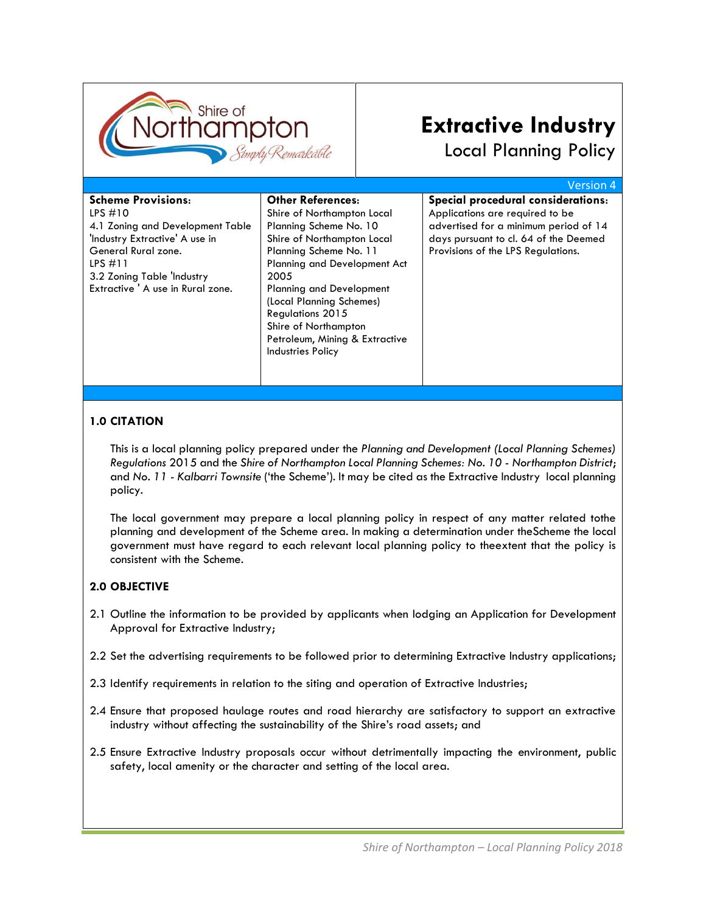

# **Extractive Industry**

Local Planning Policy

|                                   |                                     | Version 4                             |
|-----------------------------------|-------------------------------------|---------------------------------------|
| <b>Scheme Provisions:</b>         | <b>Other References:</b>            | Special procedural considerations:    |
| LPS $#10$                         | Shire of Northampton Local          | Applications are required to be       |
| 4.1 Zoning and Development Table  | Planning Scheme No. 10              | advertised for a minimum period of 14 |
| 'Industry Extractive' A use in    | Shire of Northampton Local          | days pursuant to cl. 64 of the Deemed |
| General Rural zone.               | Planning Scheme No. 11              | Provisions of the LPS Regulations.    |
| LPS#11                            | <b>Planning and Development Act</b> |                                       |
| 3.2 Zoning Table 'Industry        | 2005                                |                                       |
| Extractive ' A use in Rural zone. | <b>Planning and Development</b>     |                                       |
|                                   | (Local Planning Schemes)            |                                       |
|                                   | <b>Regulations 2015</b>             |                                       |
|                                   | Shire of Northampton                |                                       |
|                                   | Petroleum, Mining & Extractive      |                                       |
|                                   | <b>Industries Policy</b>            |                                       |
|                                   |                                     |                                       |

## **1.0 CITATION**

This is a local planning policy prepared under the *Planning and Development (Local Planning Schemes) Regulations* 2015 and the *Shire of Northampton Local Planning Schemes: No. 10 - Northampton District*; and *No. 11 - Kalbarri Townsite* ('the Scheme'). It may be cited as the Extractive Industry local planning policy.

The local government may prepare a local planning policy in respect of any matter related tothe planning and development of the Scheme area. In making a determination under theScheme the local government must have regard to each relevant local planning policy to theextent that the policy is consistent with the Scheme.

## **2.0 OBJECTIVE**

- 2.1 Outline the information to be provided by applicants when lodging an Application for Development Approval for Extractive Industry;
- 2.2 Set the advertising requirements to be followed prior to determining Extractive Industry applications;
- 2.3 Identify requirements in relation to the siting and operation of Extractive Industries;
- 2.4 Ensure that proposed haulage routes and road hierarchy are satisfactory to support an extractive industry without affecting the sustainability of the Shire's road assets; and
- 2.5 Ensure Extractive Industry proposals occur without detrimentally impacting the environment, public safety, local amenity or the character and setting of the local area.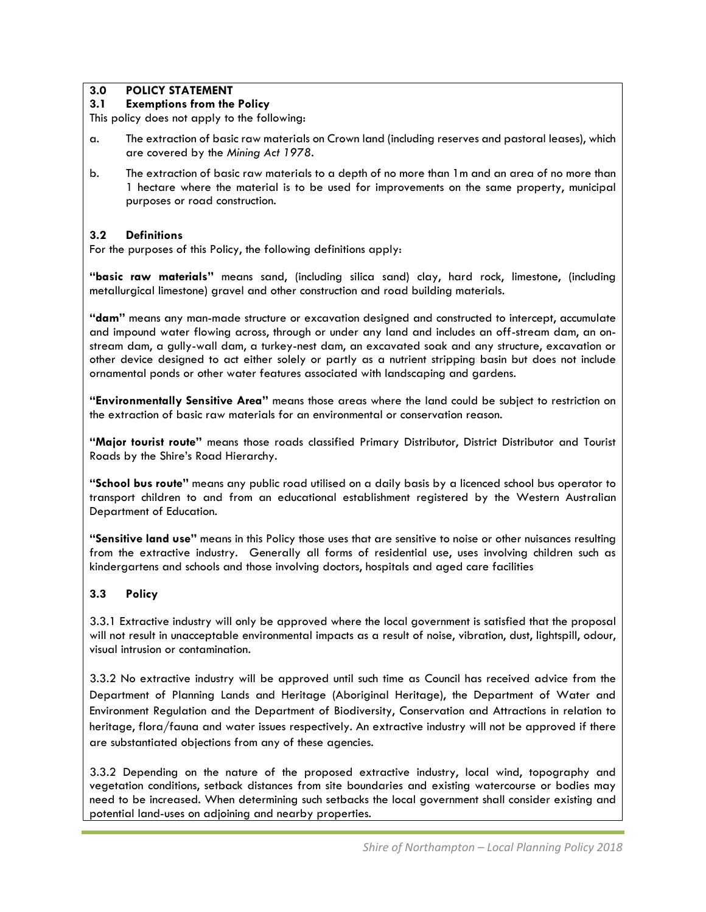### **3.0 POLICY STATEMENT**

### **3.1 Exemptions from the Policy**

This policy does not apply to the following:

- a. The extraction of basic raw materials on Crown land (including reserves and pastoral leases), which are covered by the *Mining Act 1978*.
- b. The extraction of basic raw materials to a depth of no more than 1m and an area of no more than 1 hectare where the material is to be used for improvements on the same property, municipal purposes or road construction.

## **3.2 Definitions**

For the purposes of this Policy, the following definitions apply:

**"basic raw materials"** means sand, (including silica sand) clay, hard rock, limestone, (including metallurgical limestone) gravel and other construction and road building materials.

**"dam"** means any man-made structure or excavation designed and constructed to intercept, accumulate and impound water flowing across, through or under any land and includes an off-stream dam, an onstream dam, a gully-wall dam, a turkey-nest dam, an excavated soak and any structure, excavation or other device designed to act either solely or partly as a nutrient stripping basin but does not include ornamental ponds or other water features associated with landscaping and gardens.

**"Environmentally Sensitive Area"** means those areas where the land could be subject to restriction on the extraction of basic raw materials for an environmental or conservation reason.

**"Major tourist route"** means those roads classified Primary Distributor, District Distributor and Tourist Roads by the Shire's Road Hierarchy.

**"School bus route"** means any public road utilised on a daily basis by a licenced school bus operator to transport children to and from an educational establishment registered by the Western Australian Department of Education.

**"Sensitive land use"** means in this Policy those uses that are sensitive to noise or other nuisances resulting from the extractive industry. Generally all forms of residential use, uses involving children such as kindergartens and schools and those involving doctors, hospitals and aged care facilities

## **3.3 Policy**

3.3.1 Extractive industry will only be approved where the local government is satisfied that the proposal will not result in unacceptable environmental impacts as a result of noise, vibration, dust, lightspill, odour, visual intrusion or contamination.

3.3.2 No extractive industry will be approved until such time as Council has received advice from the Department of Planning Lands and Heritage (Aboriginal Heritage), the Department of Water and Environment Regulation and the Department of Biodiversity, Conservation and Attractions in relation to heritage, flora/fauna and water issues respectively. An extractive industry will not be approved if there are substantiated objections from any of these agencies.

3.3.2 Depending on the nature of the proposed extractive industry, local wind, topography and vegetation conditions, setback distances from site boundaries and existing watercourse or bodies may need to be increased. When determining such setbacks the local government shall consider existing and potential land-uses on adjoining and nearby properties.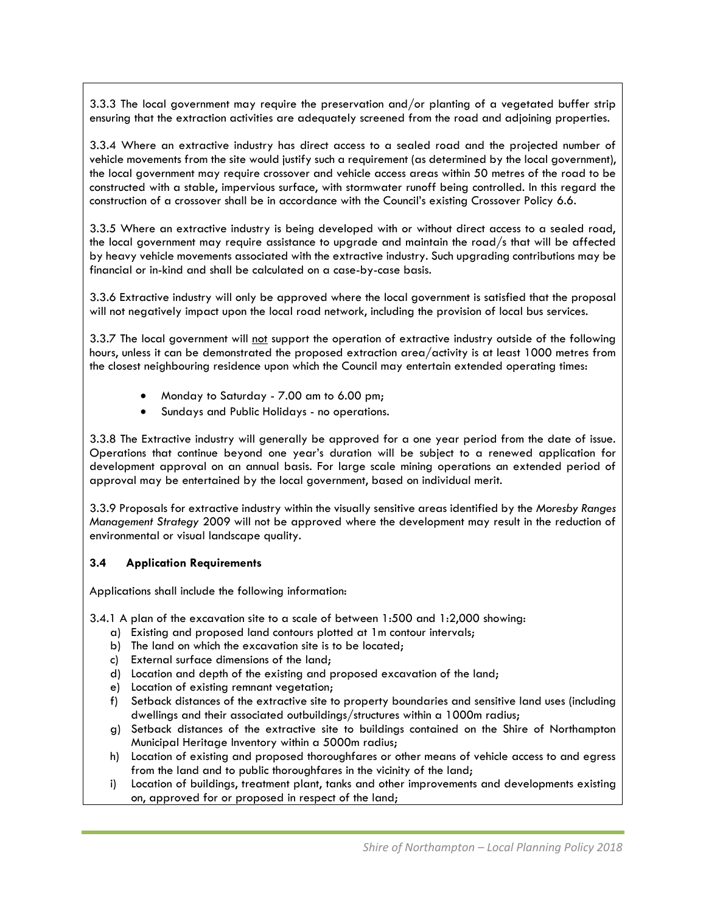3.3.3 The local government may require the preservation and/or planting of a vegetated buffer strip ensuring that the extraction activities are adequately screened from the road and adjoining properties.

3.3.4 Where an extractive industry has direct access to a sealed road and the projected number of vehicle movements from the site would justify such a requirement (as determined by the local government), the local government may require crossover and vehicle access areas within 50 metres of the road to be constructed with a stable, impervious surface, with stormwater runoff being controlled. In this regard the construction of a crossover shall be in accordance with the Council's existing Crossover Policy 6.6.

3.3.5 Where an extractive industry is being developed with or without direct access to a sealed road, the local government may require assistance to upgrade and maintain the road/s that will be affected by heavy vehicle movements associated with the extractive industry. Such upgrading contributions may be financial or in-kind and shall be calculated on a case-by-case basis.

3.3.6 Extractive industry will only be approved where the local government is satisfied that the proposal will not negatively impact upon the local road network, including the provision of local bus services.

3.3.7 The local government will not support the operation of extractive industry outside of the following hours, unless it can be demonstrated the proposed extraction area/activity is at least 1000 metres from the closest neighbouring residence upon which the Council may entertain extended operating times:

- Monday to Saturday 7.00 am to 6.00 pm;
- Sundays and Public Holidays no operations.

3.3.8 The Extractive industry will generally be approved for a one year period from the date of issue. Operations that continue beyond one year's duration will be subject to a renewed application for development approval on an annual basis. For large scale mining operations an extended period of approval may be entertained by the local government, based on individual merit.

3.3.9 Proposals for extractive industry within the visually sensitive areas identified by the *Moresby Ranges Management Strategy* 2009 will not be approved where the development may result in the reduction of environmental or visual landscape quality.

#### **3.4 Application Requirements**

Applications shall include the following information:

3.4.1 A plan of the excavation site to a scale of between 1:500 and 1:2,000 showing:

- a) Existing and proposed land contours plotted at 1m contour intervals;
- b) The land on which the excavation site is to be located;
- c) External surface dimensions of the land;
- d) Location and depth of the existing and proposed excavation of the land;
- e) Location of existing remnant vegetation;
- f) Setback distances of the extractive site to property boundaries and sensitive land uses (including dwellings and their associated outbuildings/structures within a 1000m radius;
- g) Setback distances of the extractive site to buildings contained on the Shire of Northampton Municipal Heritage Inventory within a 5000m radius;
- h) Location of existing and proposed thoroughfares or other means of vehicle access to and egress from the land and to public thoroughfares in the vicinity of the land;
- i) Location of buildings, treatment plant, tanks and other improvements and developments existing on, approved for or proposed in respect of the land;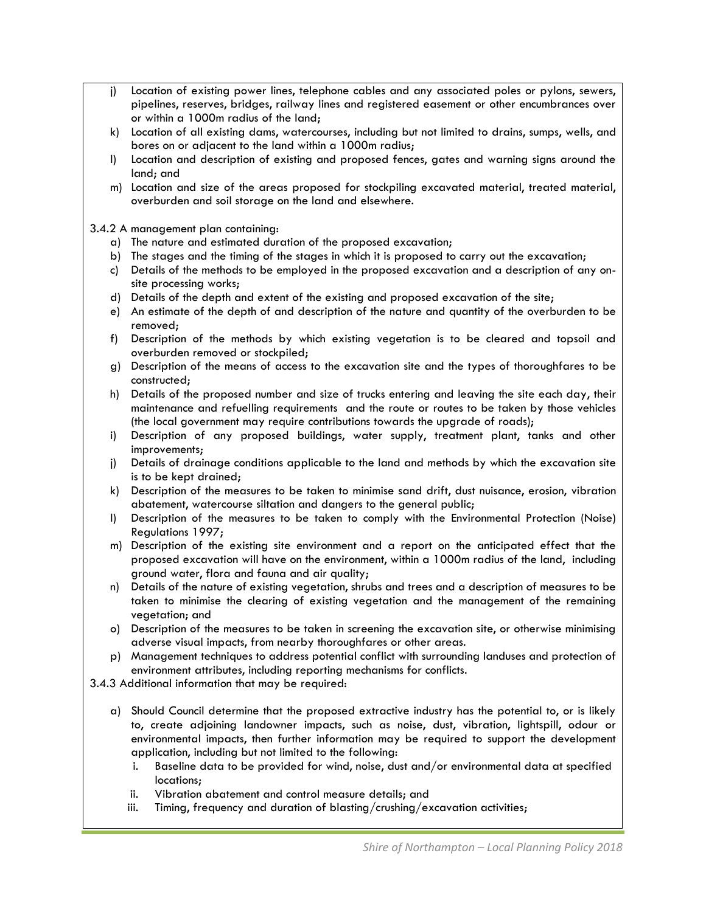- j) Location of existing power lines, telephone cables and any associated poles or pylons, sewers, pipelines, reserves, bridges, railway lines and registered easement or other encumbrances over or within a 1000m radius of the land;
- k) Location of all existing dams, watercourses, including but not limited to drains, sumps, wells, and bores on or adjacent to the land within a 1000m radius;
- l) Location and description of existing and proposed fences, gates and warning signs around the land; and
- m) Location and size of the areas proposed for stockpiling excavated material, treated material, overburden and soil storage on the land and elsewhere.

#### 3.4.2 A management plan containing:

- a) The nature and estimated duration of the proposed excavation;
- b) The stages and the timing of the stages in which it is proposed to carry out the excavation;
- c) Details of the methods to be employed in the proposed excavation and a description of any onsite processing works;
- d) Details of the depth and extent of the existing and proposed excavation of the site;
- e) An estimate of the depth of and description of the nature and quantity of the overburden to be removed;
- f) Description of the methods by which existing vegetation is to be cleared and topsoil and overburden removed or stockpiled;
- g) Description of the means of access to the excavation site and the types of thoroughfares to be constructed;
- h) Details of the proposed number and size of trucks entering and leaving the site each day, their maintenance and refuelling requirements and the route or routes to be taken by those vehicles (the local government may require contributions towards the upgrade of roads);
- i) Description of any proposed buildings, water supply, treatment plant, tanks and other improvements;
- j) Details of drainage conditions applicable to the land and methods by which the excavation site is to be kept drained;
- k) Description of the measures to be taken to minimise sand drift, dust nuisance, erosion, vibration abatement, watercourse siltation and dangers to the general public;
- l) Description of the measures to be taken to comply with the Environmental Protection (Noise) Regulations 1997;
- m) Description of the existing site environment and a report on the anticipated effect that the proposed excavation will have on the environment, within a 1000m radius of the land, including ground water, flora and fauna and air quality;
- n) Details of the nature of existing vegetation, shrubs and trees and a description of measures to be taken to minimise the clearing of existing vegetation and the management of the remaining vegetation; and
- o) Description of the measures to be taken in screening the excavation site, or otherwise minimising adverse visual impacts, from nearby thoroughfares or other areas.
- p) Management techniques to address potential conflict with surrounding landuses and protection of environment attributes, including reporting mechanisms for conflicts.

3.4.3 Additional information that may be required:

- a) Should Council determine that the proposed extractive industry has the potential to, or is likely to, create adjoining landowner impacts, such as noise, dust, vibration, lightspill, odour or environmental impacts, then further information may be required to support the development application, including but not limited to the following:
	- i. Baseline data to be provided for wind, noise, dust and/or environmental data at specified locations;
	- ii. Vibration abatement and control measure details; and
	- iii. Timing, frequency and duration of blasting/crushing/excavation activities;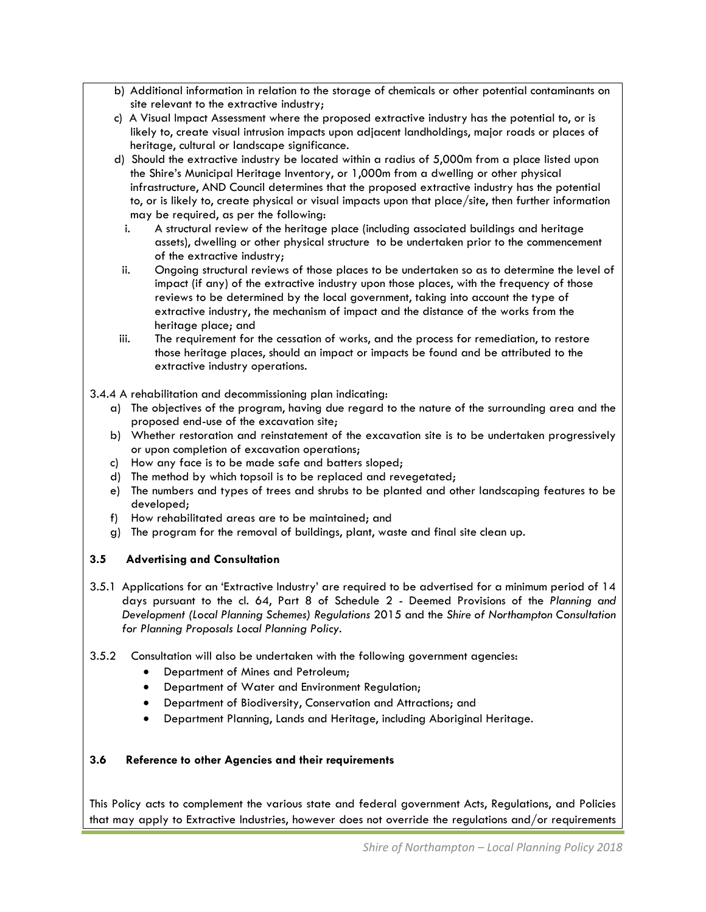- b) Additional information in relation to the storage of chemicals or other potential contaminants on site relevant to the extractive industry;
- c) A Visual Impact Assessment where the proposed extractive industry has the potential to, or is likely to, create visual intrusion impacts upon adjacent landholdings, major roads or places of heritage, cultural or landscape significance.
- d) Should the extractive industry be located within a radius of 5,000m from a place listed upon the Shire's Municipal Heritage Inventory, or 1,000m from a dwelling or other physical infrastructure, AND Council determines that the proposed extractive industry has the potential to, or is likely to, create physical or visual impacts upon that place/site, then further information may be required, as per the following:
	- i. A structural review of the heritage place (including associated buildings and heritage assets), dwelling or other physical structure to be undertaken prior to the commencement of the extractive industry;
	- ii. Ongoing structural reviews of those places to be undertaken so as to determine the level of impact (if any) of the extractive industry upon those places, with the frequency of those reviews to be determined by the local government, taking into account the type of extractive industry, the mechanism of impact and the distance of the works from the heritage place; and
- iii. The requirement for the cessation of works, and the process for remediation, to restore those heritage places, should an impact or impacts be found and be attributed to the extractive industry operations.
- 3.4.4 A rehabilitation and decommissioning plan indicating:
	- a) The objectives of the program, having due regard to the nature of the surrounding area and the proposed end-use of the excavation site;
	- b) Whether restoration and reinstatement of the excavation site is to be undertaken progressively or upon completion of excavation operations;
	- c) How any face is to be made safe and batters sloped;
	- d) The method by which topsoil is to be replaced and revegetated;
	- e) The numbers and types of trees and shrubs to be planted and other landscaping features to be developed;
	- f) How rehabilitated areas are to be maintained; and
	- g) The program for the removal of buildings, plant, waste and final site clean up.

## **3.5 Advertising and Consultation**

- 3.5.1 Applications for an 'Extractive Industry' are required to be advertised for a minimum period of 14 days pursuant to the cl. 64, Part 8 of Schedule 2 - Deemed Provisions of the *Planning and Development (Local Planning Schemes) Regulations* 2015 and the *Shire of Northampton Consultation for Planning Proposals Local Planning Policy*.
- 3.5.2 Consultation will also be undertaken with the following government agencies:
	- Department of Mines and Petroleum;
	- Department of Water and Environment Regulation;
	- Department of Biodiversity, Conservation and Attractions; and
	- Department Planning, Lands and Heritage, including Aboriginal Heritage.

#### **3.6 Reference to other Agencies and their requirements**

This Policy acts to complement the various state and federal government Acts, Regulations, and Policies that may apply to Extractive Industries, however does not override the regulations and/or requirements